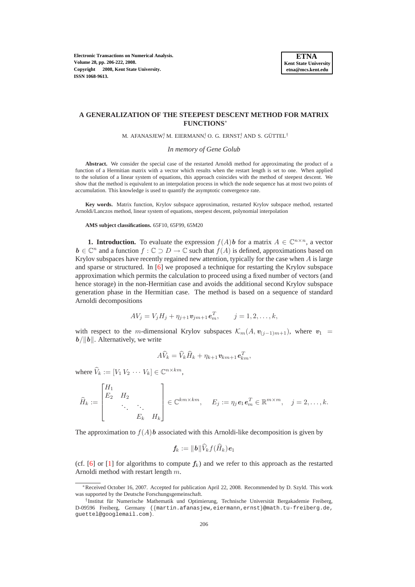## **A GENERALIZATION OF THE STEEPEST DESCENT METHOD FOR MATRIX FUNCTIONS**<sup>∗</sup>

M. AFANASJEW, M. EIERMANN, O. G. ERNST, AND S. GÜTTEL<sup>†</sup>

*In memory of Gene Golub*

**Abstract.** We consider the special case of the restarted Arnoldi method for approximating the product of a function of a Hermitian matrix with a vector which results when the restart length is set to one. When applied to the solution of a linear system of equations, this approach coincides with the method of steepest descent. We show that the method is equivalent to an interpolation process in which the node sequence has at most two points of accumulation. This knowledge is used to quantify the asymptotic convergence rate.

**Key words.** Matrix function, Krylov subspace approximation, restarted Krylov subspace method, restarted Arnoldi/Lanczos method, linear system of equations, steepest descent, polynomial interpolation

### **AMS subject classifications.** 65F10, 65F99, 65M20

**1. Introduction.** To evaluate the expression  $f(A)$ **b** for a matrix  $A \in \mathbb{C}^{n \times n}$ , a vector  $b \in \mathbb{C}^n$  and a function  $f : \mathbb{C} \supset D \to \mathbb{C}$  such that  $f(A)$  is defined, approximations based on Krylov subspaces have recently regained new attention, typically for the case when  $\tilde{A}$  is large and sparse or structured. In [\[6\]](#page-16-0) we proposed a technique for restarting the Krylov subspace approximation which permits the calculation to proceed using a fixed number of vectors (and hence storage) in the non-Hermitian case and avoids the additional second Krylov subspace generation phase in the Hermitian case. The method is based on a sequence of standard Arnoldi decompositions

$$
AV_j = V_j H_j + \eta_{j+1} \mathbf{v}_{jm+1} \mathbf{e}_m^T, \qquad j = 1, 2, \dots, k,
$$

with respect to the m-dimensional Krylov subspaces  $\mathcal{K}_m(A, v_{(i-1)m+1})$ , where  $v_1$  $b/\Vert b\Vert$ . Alternatively, we write

$$
A\widehat{V}_k = \widehat{V}_k\widehat{H}_k + \eta_{k+1}\boldsymbol{v}_{km+1}\boldsymbol{e}_{km}^T,
$$

where  $\widehat{V}_k := [V_1 V_2 \cdots V_k] \in \mathbb{C}^{n \times km}$ ,

$$
\widehat{H}_k := \begin{bmatrix} H_1 & & & \\ E_2 & H_2 & & \\ & \ddots & \ddots & \\ & & E_k & H_k \end{bmatrix} \in \mathbb{C}^{km \times km}, \quad E_j := \eta_j e_1 e_m^T \in \mathbb{R}^{m \times m}, \quad j = 2, \dots, k.
$$

The approximation to  $f(A)$ **b** associated with this Arnoldi-like decomposition is given by

$$
\textbf{\textit{f}}_k := \|\textbf{\textit{b}}\|\widehat{V}_kf(\widehat{H}_k)\textbf{\textit{e}}_1
$$

(cf. [\[6\]](#page-16-0) or [\[1\]](#page-16-1) for algorithms to compute  $f_k$ ) and we refer to this approach as the restarted Arnoldi method with restart length m.

<sup>∗</sup>Received October 16, 2007. Accepted for publication April 22, 2008. Recommended by D. Szyld. This work was supported by the Deutsche Forschungsgemeinschaft.

<sup>&</sup>lt;sup>†</sup> Institut für Numerische Mathematik und Optimierung, Technische Universität Bergakademie Freiberg, D-09596 Freiberg, Germany ({martin.afanasjew,eiermann,ernst}@math.tu-freiberg.de, guettel@googlemail.com).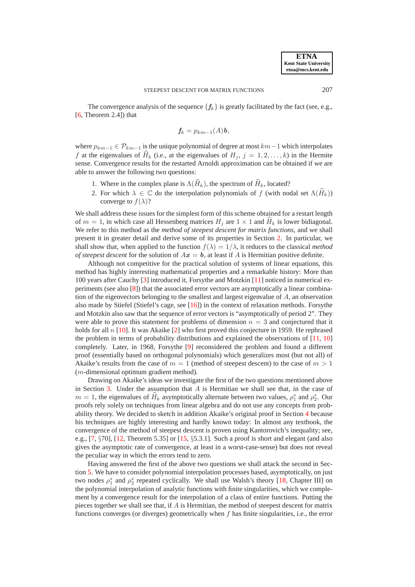The convergence analysis of the sequence  $\{f_k\}$  is greatly facilitated by the fact (see, e.g.,  $[6,$  Theorem 2.4]) that

$$
f_k = p_{km-1}(A) \mathbf{b},
$$

where  $p_{km-1} \in \mathcal{P}_{km-1}$  is the unique polynomial of degree at most  $km-1$  which interpolates f at the eigenvalues of  $H_k$  (i.e., at the eigenvalues of  $H_j$ ,  $j = 1, 2, \ldots, k$ ) in the Hermite sense. Convergence results for the restarted Arnoldi approximation can be obtained if we are able to answer the following two questions:

- 1. Where in the complex plane is  $\Lambda(\widehat{H}_k)$ , the spectrum of  $\widehat{H}_k$ , located?
- 2. For which  $\lambda \in \mathbb{C}$  do the interpolation polynomials of f (with nodal set  $\Lambda(\widehat{H}_k)$ ) converge to  $f(\lambda)$ ?

We shall address these issues for the simplest form of this scheme obtained for a restart length of  $m = 1$ , in which case all Hessenberg matrices  $H_j$  are  $1 \times 1$  and  $H_k$  is lower bidiagonal. We refer to this method as the *method of steepest descent for matrix functions*, and we shall present it in greater detail and derive some of its properties in Section [2.](#page-2-0) In particular, we shall show that, when applied to the function  $f(\lambda) = 1/\lambda$ , it reduces to the classical *method of steepest descent* for the solution of  $Ax = b$ , at least if A is Hermitian positive definite.

Although not competitive for the practical solution of systems of linear equations, this method has highly interesting mathematical properties and a remarkable history: More than 100 years after Cauchy [\[3\]](#page-16-2) introduced it, Forsythe and Motzkin [\[11\]](#page-16-3) noticed in numerical experiments (see also [\[8\]](#page-16-4)) that the associated error vectors are asymptotically a linear combination of the eigenvectors belonging to the smallest and largest eigenvalue of  $A$ , an observation also made by Stiefel (Stiefel's cage, see [\[16\]](#page-16-5)) in the context of relaxation methods. For sythe and Motzkin also saw that the sequence of error vectors is "asymptotically of period 2". They were able to prove this statement for problems of dimension  $n = 3$  and conjectured that it holds for all n [\[10\]](#page-16-6). It was Akaike [\[2\]](#page-16-7) who first proved this conjecture in 1959. He rephrased the problem in terms of probability distributions and explained the observations of [\[11,](#page-16-3) [10\]](#page-16-6) completely. Later, in 1968, Forsythe [\[9\]](#page-16-8) reconsidered the problem and found a different proof (essentially based on orthogonal polynomials) which generalizes most (but not all) of Akaike's results from the case of  $m = 1$  (method of steepest descent) to the case of  $m > 1$ (m-dimensional optimum gradient method).

Drawing on Akaike's ideas we investigate the first of the two questions mentioned above in Section [3.](#page-4-0) Under the assumption that  $A$  is Hermitian we shall see that, in the case of  $m = 1$ , the eigenvalues of  $\hat{H}_k$  asymptotically alternate between two values,  $\rho_1^*$  and  $\rho_2^*$ . Our proofs rely solely on techniques from linear algebra and do not use any concepts from probability theory. We decided to sketch in addition Akaike's original proof in Section [4](#page-8-0) because his techniques are highly interesting and hardly known today: In almost any textbook, the convergence of the method of steepest descent is proven using Kantorovich's inequality; see, e.g., [\[7,](#page-16-9) §70], [\[12,](#page-16-10) Theorem 5.35] or [\[15,](#page-16-11) §5.3.1]. Such a proof is short and elegant (and also gives the asymptotic rate of convergence, at least in a worst-case-sense) but does not reveal the peculiar way in which the errors tend to zero.

Having answered the first of the above two questions we shall attack the second in Section [5.](#page-9-0) We have to consider polynomial interpolation processes based, asymptotically, on just two nodes  $\rho_1^*$  and  $\rho_2^*$  repeated cyclically. We shall use Walsh's theory [\[18,](#page-16-12) Chapter III] on the polynomial interpolation of analytic functions with finite singularities, which we complement by a convergence result for the interpolation of a class of entire functions. Putting the pieces together we shall see that, if A is Hermitian, the method of steepest descent for matrix functions converges (or diverges) geometrically when  $f$  has finite singularities, i.e., the error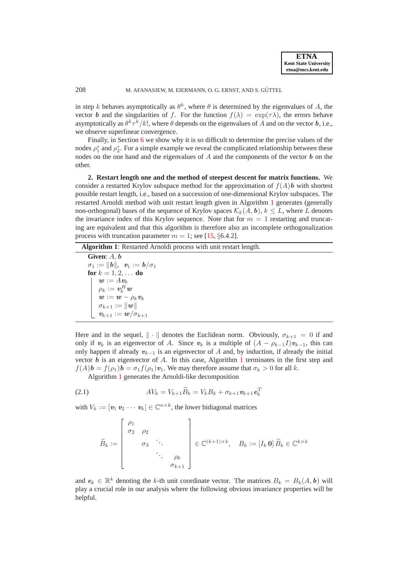in step k behaves asymptotically as  $\theta^k$ , where  $\theta$  is determined by the eigenvalues of A, the vector b and the singularities of f. For the function  $f(\lambda) = \exp(\tau \lambda)$ , the errors behave asymptotically as  $\theta^k \tau^k/k!$ , where  $\theta$  depends on the eigenvalues of  $A$  and on the vector  $b$ , i.e., we observe superlinear convergence.

Finally, in Section [6](#page-13-0) we show why it is so difficult to determine the precise values of the nodes  $\rho_1^*$  and  $\rho_2^*$ . For a simple example we reveal the complicated relationship between these nodes on the one hand and the eigenvalues of  $A$  and the components of the vector  $\boldsymbol{b}$  on the other.

<span id="page-2-0"></span>**2. Restart length one and the method of steepest descent for matrix functions.** We consider a restarted Krylov subspace method for the approximation of  $f(A)$ **b** with shortest possible restart length, i.e., based on a succession of one-dimensional Krylov subspaces. The restarted Arnoldi method with unit restart length given in Algorithm [1](#page-2-1) generates (generally non-orthogonal) bases of the sequence of Krylov spaces  $\mathcal{K}_k(A, b)$ ,  $k \leq L$ , where L denotes the invariance index of this Krylov sequence. Note that for  $m = 1$  restarting and truncating are equivalent and that this algorithm is therefore also an incomplete orthogonalization process with truncation parameter  $m = 1$ ; see [\[15,](#page-16-11) §6.4.2].

<span id="page-2-1"></span>**Algorithm 1**: Restarted Arnoldi process with unit restart length.

**Given**: A, b  $\sigma_1 := ||b||, \ \ v_1 := b/\sigma_1$ **for**  $k = 1, 2, ...$  **do**  $\boldsymbol{w}:=A\boldsymbol{v}_k$  $\rho_k := \bm{v}_k^H \bm{w}$  $\bm{w} := \bm{w} - \rho_k \bm{v}_k$  $\sigma_{k+1} := \|\boldsymbol{w}\|$  $\bm{v}_{k+1} := \bm{w} / \sigma_{k+1}$ 

Here and in the sequel,  $\|\cdot\|$  denotes the Euclidean norm. Obviously,  $\sigma_{k+1} = 0$  if and only if  $v_k$  is an eigenvector of A. Since  $v_k$  is a multiple of  $(A - \rho_{k-1}I)v_{k-1}$ , this can only happen if already  $v_{k-1}$  is an eigenvector of A and, by induction, if already the initial vector  $b$  is an eigenvector of  $A$ . In this case, Algorithm [1](#page-2-1) terminates in the first step and  $f(A)\mathbf{b} = f(\rho_1)\mathbf{b} = \sigma_1 f(\rho_1)\mathbf{v}_1$ . We may therefore assume that  $\sigma_k > 0$  for all k.

Algorithm [1](#page-2-1) generates the Arnoldi-like decomposition

$$
(2.1) \t\t\t A V_k = V_{k+1} \widetilde{B}_k = V_k B_k + \sigma_{k+1} \mathbf{v}_{k+1} \mathbf{e}_k^T
$$

with  $V_k := [v_1 v_2 \cdots v_k] \in \mathbb{C}^{n \times k}$ , the lower bidiagonal matrices

<span id="page-2-2"></span>
$$
\widetilde{B}_k := \left[ \begin{array}{cccc} \rho_1 & & & \\ \sigma_2 & \rho_2 & & \\ & \sigma_3 & \ddots & \\ & & \ddots & \ddots \\ & & & & \sigma_{k+1} \end{array} \right] \in \mathbb{C}^{(k+1)\times k}, \quad B_k := \left[ I_k \mathbf{0} \right] \widetilde{B}_k \in \mathbb{C}^{k \times k}
$$

and  $e_k \in \mathbb{R}^k$  denoting the k-th unit coordinate vector. The matrices  $B_k = B_k(A, b)$  will play a crucial role in our analysis where the following obvious invariance properties will be helpful.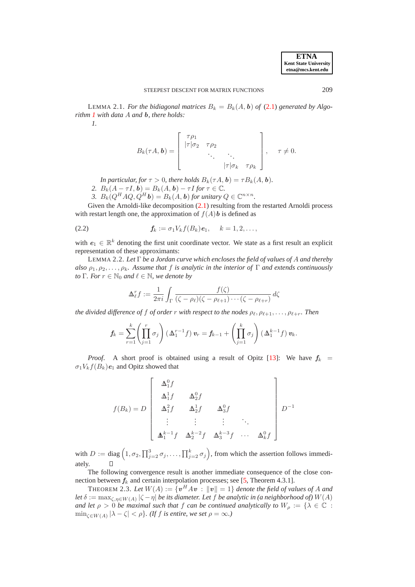**ETNA Kent State University etna@mcs.kent.edu**

<span id="page-3-1"></span>LEMMA 2.1. *For the bidiagonal matrices*  $B_k = B_k(A, b)$  *of* [\(2.1\)](#page-2-2) *generated by Algorithm [1](#page-2-1) with data* A *and* b*, there holds: 1.*

$$
B_k(\tau A, \mathbf{b}) = \begin{bmatrix} \tau \rho_1 \\ |\tau|\sigma_2 & \tau \rho_2 \\ \cdot & \cdot \\ \cdot & \cdot \\ \cdot & \cdot \\ \cdot & \cdot \\ \tau|\sigma_k & \tau \rho_k \end{bmatrix}, \quad \tau \neq 0.
$$

*In particular, for*  $\tau > 0$ *, there holds*  $B_k(\tau A, \mathbf{b}) = \tau B_k(A, \mathbf{b})$ *.* 2.  $B_k(A - \tau I, b) = B_k(A, b) - \tau I$  *for*  $\tau \in \mathbb{C}$ *.* 

3.  $B_k(Q^H A Q, Q^H b) = B_k(A, b)$  *for unitary*  $Q \in \mathbb{C}^{n \times n}$ .

Given the Arnoldi-like decomposition  $(2.1)$  resulting from the restarted Arnoldi process with restart length one, the approximation of  $f(A)$ **b** is defined as

(2.2) 
$$
f_k := \sigma_1 V_k f(B_k) e_1, \quad k = 1, 2, \ldots,
$$

with  $e_1 \in \mathbb{R}^k$  denoting the first unit coordinate vector. We state as a first result an explicit representation of these approximants:

LEMMA 2.2. *Let* Γ *be a Jordan curve which encloses the field of values of* A *and thereby also*  $\rho_1, \rho_2, \ldots, \rho_k$ *. Assume that* f *is analytic in the interior of*  $\Gamma$  *and extends continuously to* Γ*. For*  $r \in \mathbb{N}_0$  *and*  $\ell \in \mathbb{N}$ *, we denote by* 

<span id="page-3-2"></span>
$$
\Delta_{\ell}^r f := \frac{1}{2\pi i} \int_{\Gamma} \frac{f(\zeta)}{(\zeta - \rho_{\ell})(\zeta - \rho_{\ell+1}) \cdots (\zeta - \rho_{\ell+r})} d\zeta
$$

*the divided difference of f of order* r *with respect to the nodes*  $\rho_{\ell}, \rho_{\ell+1}, \ldots, \rho_{\ell+r}$ *. Then* 

$$
f_k = \sum_{r=1}^k \left(\prod_{j=1}^r \sigma_j\right) \left(\Delta_1^{r-1} f\right) v_r = f_{k-1} + \left(\prod_{j=1}^k \sigma_j\right) \left(\Delta_1^{k-1} f\right) v_k.
$$

*Proof.* A short proof is obtained using a result of Opitz [\[13\]](#page-16-13): We have  $f_k$  =  $\sigma_1 V_k f(B_k) e_1$  and Opitz showed that

$$
f(B_k) = D \begin{bmatrix} \Delta_1^0 f \\ \Delta_1^1 f & \Delta_2^0 f \\ \Delta_1^2 f & \Delta_2^1 f & \Delta_3^0 f \\ \vdots & \vdots & \vdots & \ddots \\ \Delta_1^{k-1} f & \Delta_2^{k-2} f & \Delta_3^{k-3} f & \cdots & \Delta_k^0 f \end{bmatrix} D^{-1}
$$

with  $D := \text{diag} (1, \sigma_2, \prod_{j=2}^3 \sigma_j, \dots, \prod_{j=2}^k \sigma_j)$ , from which the assertion follows immediately.

The following convergence result is another immediate consequence of the close connection between  $f_k$  and certain interpolation processes; see [\[5,](#page-16-14) Theorem 4.3.1].

<span id="page-3-0"></span>THEOREM 2.3. Let  $W(A) := \{v^HAv : ||v|| = 1\}$  denote the field of values of A and *let*  $\delta := \max_{\zeta, \eta \in W(A)} |\zeta - \eta|$  *be its diameter. Let*  $f$  *be analytic in (a neighborhood of)*  $W(A)$ *and let*  $\rho > 0$  *be maximal such that*  $f$  *can be continued analytically to*  $W_{\rho} := \{ \lambda \in \mathbb{C} :$  $\min_{\zeta \in W(A)} |\lambda - \zeta| < \rho$ *}. (If f is entire, we set*  $\rho = \infty$ *.)*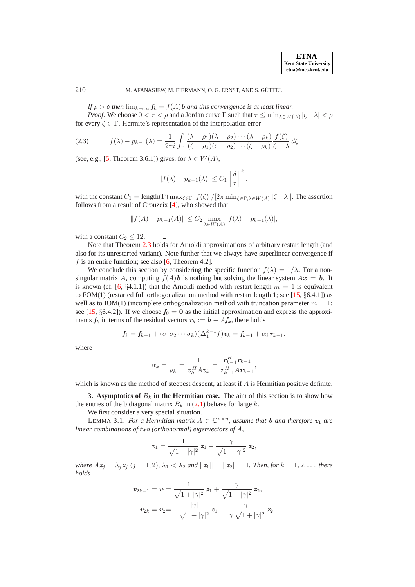*If*  $\rho > \delta$  *then*  $\lim_{k \to \infty} f_k = f(A)$ *b and this convergence is at least linear.* 

*Proof.* We choose  $0 < \tau < \rho$  and a Jordan curve  $\Gamma$  such that  $\tau \le \min_{\lambda \in W(A)} |\zeta - \lambda| < \rho$ for every  $\zeta \in \Gamma$ . Hermite's representation of the interpolation error

<span id="page-4-2"></span>(2.3) 
$$
f(\lambda) - p_{k-1}(\lambda) = \frac{1}{2\pi i} \int_{\Gamma} \frac{(\lambda - \rho_1)(\lambda - \rho_2) \cdots (\lambda - \rho_k)}{(\zeta - \rho_1)(\zeta - \rho_2) \cdots (\zeta - \rho_k)} \frac{f(\zeta)}{\zeta - \lambda} d\zeta
$$

(see, e.g., [\[5,](#page-16-14) Theorem 3.6.1]) gives, for  $\lambda \in W(A)$ ,

 $\Box$ 

$$
|f(\lambda)-p_{k-1}(\lambda)|\leq C_1\left[\frac{\delta}{\tau}\right]^k,
$$

with the constant  $C_1 = \text{length}(\Gamma) \max_{\zeta \in \Gamma} |f(\zeta)| / [2\pi \min_{\zeta \in \Gamma, \lambda \in W(A)} |\zeta - \lambda|].$  The assertion follows from a result of Crouzeix [\[4\]](#page-16-15), who showed that

$$
||f(A) - p_{k-1}(A)|| \le C_2 \max_{\lambda \in W(A)} |f(\lambda) - p_{k-1}(\lambda)|,
$$

with a constant  $C_2 \leq 12$ .

Note that Theorem [2.3](#page-3-0) holds for Arnoldi approximations of arbitrary restart length (and also for its unrestarted variant). Note further that we always have superlinear convergence if f is an entire function; see also  $[6,$  Theorem 4.2].

We conclude this section by considering the specific function  $f(\lambda) = 1/\lambda$ . For a nonsingular matrix A, computing  $f(A)$ **b** is nothing but solving the linear system  $Ax = b$ . It is known (cf. [\[6,](#page-16-0) §4.1.1]) that the Arnoldi method with restart length  $m = 1$  is equivalent to FOM(1) (restarted full orthogonalization method with restart length 1; see [\[15,](#page-16-11)  $\S 6.4.1$ ]) as well as to IOM(1) (incomplete orthogonalization method with truncation parameter  $m = 1$ ; see [\[15,](#page-16-11) §6.4.2]). If we choose  $f_0 = 0$  as the initial approximation and express the approximants  $f_k$  in terms of the residual vectors  $r_k := b - Af_k$ , there holds

$$
\mathbf{f}_k = \mathbf{f}_{k-1} + (\sigma_1 \sigma_2 \cdots \sigma_k) (\Delta_1^{k-1} f) \mathbf{v}_k = \mathbf{f}_{k-1} + \alpha_k \mathbf{r}_{k-1},
$$

where

$$
\alpha_k = \frac{1}{\rho_k} = \frac{1}{\mathbf{v}_k^H A \mathbf{v}_k} = \frac{\mathbf{r}_{k-1}^H \mathbf{r}_{k-1}}{\mathbf{r}_{k-1}^H A \mathbf{r}_{k-1}},
$$

<span id="page-4-0"></span>which is known as the method of steepest descent, at least if  $A$  is Hermitian positive definite.

**3. Asymptotics of**  $B_k$  **in the Hermitian case.** The aim of this section is to show how the entries of the bidiagonal matrix  $B_k$  in [\(2.1\)](#page-2-2) behave for large k.

We first consider a very special situation.

LEMMA 3.1. *For a Hermitian matrix*  $A \in \mathbb{C}^{n \times n}$ , *assume that* **b** *and therefore*  $v_1$  *are linear combinations of two (orthonormal) eigenvectors of* A*,*

<span id="page-4-1"></span>
$$
\mathbf{v}_1 = \frac{1}{\sqrt{1+|\gamma|^2}} \, \mathbf{z}_1 + \frac{\gamma}{\sqrt{1+|\gamma|^2}} \, \mathbf{z}_2,
$$

*where*  $Az_j = \lambda_j z_j$   $(j = 1, 2)$ ,  $\lambda_1 < \lambda_2$  *and*  $||z_1|| = ||z_2|| = 1$ *. Then, for*  $k = 1, 2, \ldots$ *, there holds*

$$
v_{2k-1} = v_1 = \frac{1}{\sqrt{1+|\gamma|^2}} z_1 + \frac{\gamma}{\sqrt{1+|\gamma|^2}} z_2,
$$
  

$$
v_{2k} = v_2 = -\frac{|\gamma|}{\sqrt{1+|\gamma|^2}} z_1 + \frac{\gamma}{|\gamma|\sqrt{1+|\gamma|^2}} z_2.
$$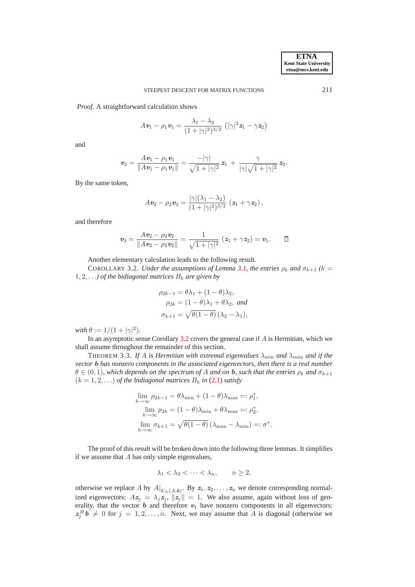*Proof.* A straightforward calculation shows

$$
A\mathbf{v}_1 - \rho_1 \mathbf{v}_1 = \frac{\lambda_1 - \lambda_2}{(1 + |\gamma|^2)^{3/2}} (\|\gamma\|^2 \mathbf{z}_1 - \gamma \mathbf{z}_2)
$$

and

$$
\mathbf{v}_2 = \frac{A\mathbf{v}_1 - \rho_1\mathbf{v}_1}{\|A\mathbf{v}_1 - \rho_1\mathbf{v}_1\|} = \frac{-|\gamma|}{\sqrt{1+|\gamma|^2}} \mathbf{z}_1 + \frac{\gamma}{|\gamma|\sqrt{1+|\gamma|^2}} \mathbf{z}_2.
$$

By the same token,

$$
Av_2 - \rho_2 v_2 = \frac{|\gamma|(\lambda_1 - \lambda_2)}{(1 + |\gamma|^2)^{3/2}} (z_1 + \gamma z_2),
$$

and therefore

$$
\mathbf{v}_3 = \frac{A\mathbf{v}_2 - \rho_2\mathbf{v}_2}{\|A\mathbf{v}_2 - \rho_2\mathbf{v}_2\|} = \frac{1}{\sqrt{1 + |\gamma|^2}} (\mathbf{z}_1 + \gamma\mathbf{z}_2) = \mathbf{v}_1. \qquad \Box
$$

Another elementary calculation leads to the following result.

<span id="page-5-0"></span>COROLLARY 3.2. *Under the assumptions of Lemma [3.1,](#page-4-1) the entries*  $\rho_k$  *and*  $\sigma_{k+1}$  ( $k =$  $1, 2, \ldots$ *) of the bidiagonal matrices*  $B_k$  *are given by* 

$$
\rho_{2k-1} = \theta \lambda_1 + (1 - \theta) \lambda_2,
$$
  
\n
$$
\rho_{2k} = (1 - \theta) \lambda_1 + \theta \lambda_2, \text{ and}
$$
  
\n
$$
\sigma_{k+1} = \sqrt{\theta(1 - \theta)} (\lambda_2 - \lambda_1),
$$

 $with \theta := 1/(1 + |\gamma|^2).$ 

In an asymptotic sense Corollary  $3.2$  covers the general case if  $A$  is Hermitian, which we shall assume throughout the remainder of this section.

<span id="page-5-1"></span>THEOREM 3.3. If A is Hermitian with extremal eigenvalues  $\lambda_{\min}$  and  $\lambda_{\max}$  and if the *vector* b *has nonzero components in the associated eigenvectors, then there is a real number*  $\theta \in (0, 1)$ *, which depends on the spectrum of A and on b, such that the entries*  $\rho_k$  *and*  $\sigma_{k+1}$  $(k = 1, 2, ...)$  *of the bidiagonal matrices*  $B_k$  *in* [\(2.1\)](#page-2-2) *satisfy* 

$$
\lim_{k \to \infty} \rho_{2k-1} = \theta \lambda_{\min} + (1 - \theta) \lambda_{\max} =: \rho_1^*,
$$
  

$$
\lim_{k \to \infty} \rho_{2k} = (1 - \theta) \lambda_{\min} + \theta \lambda_{\max} =: \rho_2^*,
$$
  

$$
\lim_{k \to \infty} \sigma_{k+1} = \sqrt{\theta(1 - \theta)} (\lambda_{\max} - \lambda_{\min}) =: \sigma^*.
$$

The proof of this result will be broken down into the following three lemmas. It simplifies if we assume that  $A$  has only simple eigenvalues,

$$
\lambda_1 < \lambda_2 < \dots < \lambda_n, \qquad n \ge 2,
$$

otherwise we replace A by  $A|_{\mathcal{K}_L(A,b)}$ . By  $z_1, z_2, \ldots, z_n$  we denote corresponding normalized eigenvectors:  $Az_j = \lambda_j z_j$ ,  $||z_j|| = 1$ . We also assume, again without loss of generality, that the vector  $b$  and therefore  $v_1$  have nonzero components in all eigenvectors:  $z_j^H b \neq 0$  for  $j = 1, 2, ..., n$ . Next, we may assume that A is diagonal (otherwise we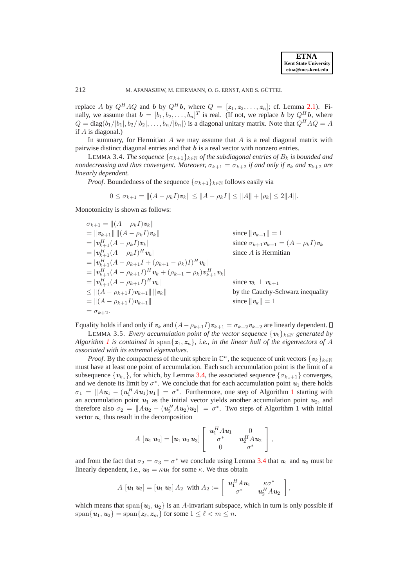replace A by  $Q^H A Q$  and b by  $Q^H b$ , where  $Q = [z_1, z_2, \ldots, z_n]$ ; cf. Lemma [2.1\)](#page-3-1). Finally, we assume that  $\boldsymbol{b} = [b_1, b_2, \dots, b_n]^T$  is real. (If not, we replace  $\boldsymbol{b}$  by  $Q^H \boldsymbol{b}$ , where  $Q = \text{diag}(b_1/|b_1|, b_2/|b_2|, \ldots, b_n/|b_n|)$  is a diagonal unitary matrix. Note that  $Q^H A Q = A$ if A is diagonal.)

In summary, for Hermitian  $A$  we may assume that  $A$  is a real diagonal matrix with pairwise distinct diagonal entries and that  $b$  is a real vector with nonzero entries.

<span id="page-6-0"></span>LEMMA 3.4. *The sequence*  $\{\sigma_{k+1}\}_{k\in\mathbb{N}}$  *of the subdiagonal entries of*  $B_k$  *is bounded and nondecreasing and thus convergent. Moreover,*  $\sigma_{k+1} = \sigma_{k+2}$  *if and only if*  $v_k$  *and*  $v_{k+2}$  *are linearly dependent.*

*Proof.* Boundedness of the sequence  $\{\sigma_{k+1}\}_{k\in\mathbb{N}}$  follows easily via

$$
0 \leq \sigma_{k+1} = ||(A - \rho_k I)\mathbf{v}_k|| \leq ||A - \rho_k I|| \leq ||A|| + |\rho_k| \leq 2||A||.
$$

Monotonicity is shown as follows:

 $\sigma_{k+1} = ||(A - \rho_k I)v_k||$  $= ||v_{k+1}|| ||(A - \rho_k I)v_k||$  since  $||v_{k+1}|| = 1$  $= |\textit{\textbf{v}}_{k\text{+}}^{H}$ since  $\sigma_{k+1}\mathbf{v}_{k+1} = (A - \rho_kI)\mathbf{v}_k$  $= |\mathbf{v}_{k+1}^H (A - \rho_k I)|$ since  $A$  is Hermitian  $= |\mathbf{v}_{k+1}^H (A - \rho_{k+1}I + (\rho_{k+1} - \rho_k)I)^H \mathbf{v}_k|$  $= |\mathbf{v}_{k+1}^H (A - \rho_{k+1} I)^H \mathbf{v}_k + (\rho_{k+1} - \rho_k) \mathbf{v}_{k+1}^H \mathbf{v}_k|$  $= |v_{k+1}^H(A - \rho_{k+1}I)^H v_k|$  since  $v_k \perp v_{k+1}$  $\leq ||(A - \rho_{k+1}I)v_{k+1}|| ||v_k||$  by the Cauchy-Schwarz inequality<br>=  $||(A - \rho_{k+1}I)v_{k+1}||$  since  $||v_k|| = 1$  $= ||(A - \rho_{k+1}I)v_{k+1}||$  $=\sigma_{k+2}.$ 

<span id="page-6-1"></span>Equality holds if and only if  $v_k$  and  $(A - \rho_{k+1}I)v_{k+1} = \sigma_{k+2}v_{k+2}$  are linearly dependent.  $\square$ 

LEMMA 3.5. *Every accumulation point of the vector sequence*  $\{v_k\}_{k\in\mathbb{N}}$  *generated by Algorithm* [1](#page-2-1) is contained in span $\{z_1, z_n\}$ , i.e., in the linear hull of the eigenvectors of A *associated with its extremal eigenvalues.*

*Proof.* By the compactness of the unit sphere in  $\mathbb{C}^n$ , the sequence of unit vectors  $\{v_k\}_{k\in\mathbb{N}}$ must have at least one point of accumulation. Each such accumulation point is the limit of a subsequence  $\{v_{k_{\nu}}\}$ , for which, by Lemma [3.4,](#page-6-0) the associated sequence  $\{\sigma_{k_{\nu}+1}\}$  converges, and we denote its limit by  $\sigma^*$ . We conclude that for each accumulation point  $u_1$  there holds  $\sigma_1 = \|Au_1 - (u_1^H Au_1)u_1\| = \sigma^*$  $\sigma_1 = \|Au_1 - (u_1^H Au_1)u_1\| = \sigma^*$  $\sigma_1 = \|Au_1 - (u_1^H Au_1)u_1\| = \sigma^*$ . Furthermore, one step of Algorithm 1 starting with an accumulation point  $u_1$  as the initial vector yields another accumulation point  $u_2$ , and therefore also  $\sigma_2 = ||Au_2 - (u_2^H Au_2)u_2|| = \sigma^*$ . Two steps of Algorithm 1 with initial vector  $u_1$  thus result in the decomposition

$$
A\,\left[\mathbf{u}_1\,\mathbf{u}_2\right]=\left[\mathbf{u}_1\,\mathbf{u}_2\,\mathbf{u}_3\right]\left[\begin{array}{ccc} \mathbf{u}_1^H A \mathbf{u}_1 & 0 \\ \sigma^* & \mathbf{u}_2^H A \mathbf{u}_2 \\ 0 & \sigma^* \end{array}\right],
$$

and from the fact that  $\sigma_2 = \sigma_3 = \sigma^*$  we conclude using Lemma [3.4](#page-6-0) that  $u_1$  and  $u_3$  must be linearly dependent, i.e.,  $u_3 = \kappa u_1$  for some  $\kappa$ . We thus obtain

$$
A [\mathbf{u}_1 \mathbf{u}_2] = [\mathbf{u}_1 \mathbf{u}_2] A_2 \text{ with } A_2 := \left[ \begin{array}{cc} \mathbf{u}_1^H A \mathbf{u}_1 & \kappa \sigma^* \\ \sigma^* & \mathbf{u}_2^H A \mathbf{u}_2 \end{array} \right]
$$

,

which means that span $\{u_1, u_2\}$  is an A-invariant subspace, which in turn is only possible if  $\text{span}\{\boldsymbol{u}_1,\boldsymbol{u}_2\} = \text{span}\{\boldsymbol{z}_{\ell},\boldsymbol{z}_m\}$  for some  $1 \leq \ell < m \leq n$ .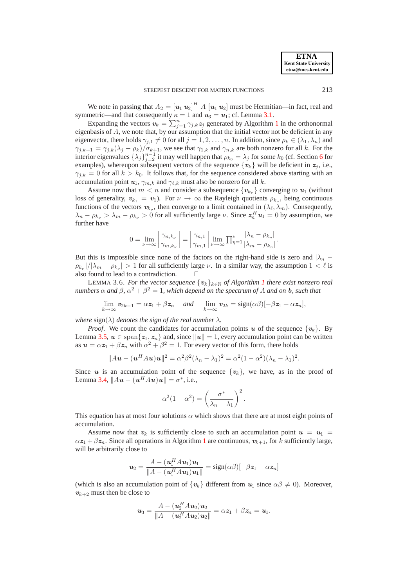We note in passing that  $A_2 = [u_1 u_2]^H A [u_1 u_2]$  must be Hermitian—in fact, real and symmetric—and that consequently  $\kappa = 1$  and  $u_3 = u_1$ ; cf. Lemma [3.1.](#page-4-1)

Expanding the vectors  $v_k = \sum_{j=1}^n \gamma_{j,k} z_j$  $v_k = \sum_{j=1}^n \gamma_{j,k} z_j$  $v_k = \sum_{j=1}^n \gamma_{j,k} z_j$  generated by Algorithm 1 in the orthonormal eigenbasis of  $\overline{A}$ , we note that, by our assumption that the initial vector not be deficient in any eigenvector, there holds  $\gamma_{i,1} \neq 0$  for all  $j = 1, 2, \ldots, n$ . In addition, since  $\rho_k \in (\lambda_1, \lambda_n)$  and  $\gamma_{j,k+1} = \gamma_{j,k}(\lambda_j - \rho_k)/\sigma_{k+1}$ , we see that  $\gamma_{1,k}$  and  $\gamma_{n,k}$  are both nonzero for all k. For the interior eigenvalues  $\{\lambda_j\}_{j=2}^{n-1}$  it may well happen that  $\rho_{k_0} = \lambda_j$  for some  $k_0$  (cf. Section [6](#page-13-0) for examples), whereupon subsequent vectors of the sequence  $\{v_k\}$  will be deficient in  $z_j$ , i.e.,  $\gamma_{i,k} = 0$  for all  $k > k_0$ . It follows that, for the sequence considered above starting with an accumulation point  $u_1$ ,  $\gamma_{m,k}$  and  $\gamma_{\ell,k}$  must also be nonzero for all k.

Assume now that  $m < n$  and consider a subsequence  $\{v_{k_{\nu}}\}$  converging to  $u_1$  (without loss of generality,  $v_{k_1} = v_1$ ). For  $\nu \to \infty$  the Rayleigh quotients  $\rho_{k_\nu}$ , being continuous functions of the vectors  $v_{k_{\nu}}$ , then converge to a limit contained in  $(\lambda_{\ell}, \lambda_m)$ . Consequently,  $\lambda_n - \rho_{k_\nu} > \lambda_m - \rho_{k_\nu} > 0$  for all sufficiently large  $\nu$ . Since  $z_n^H u_1 = 0$  by assumption, we further have

$$
0 = \lim_{\nu \to \infty} \left| \frac{\gamma_{n,k_{\nu}}}{\gamma_{m,k_{\nu}}} \right| = \left| \frac{\gamma_{n,1}}{\gamma_{m,1}} \right| \lim_{\nu \to \infty} \prod_{\eta=1}^{\nu} \frac{|\lambda_n - \rho_{k_{\eta}}|}{|\lambda_m - \rho_{k_{\eta}}|}.
$$

But this is impossible since none of the factors on the right-hand side is zero and  $|\lambda_n - \lambda_n|$  $\rho_{k_{\nu}}/|\lambda_m - \rho_{k_{\nu}}| > 1$  for all sufficiently large  $\nu$ . In a similar way, the assumption  $1 < \ell$  is also found to lead to a contradiction.

<span id="page-7-0"></span>LEMMA 3.6. *For the vector sequence*  $\{v_k\}_{k\in\mathbb{N}}$  *of Algorithm [1](#page-2-1) there exist nonzero real numbers*  $\alpha$  *and*  $\beta$ ,  $\alpha^2 + \beta^2 = 1$ , which depend on the spectrum of A and on **b**, such that

$$
\lim_{k\to\infty}\mathbf{v}_{2k-1}=\alpha\mathbf{z}_1+\beta\mathbf{z}_n \quad and \quad \lim_{k\to\infty}\mathbf{v}_{2k}=\text{sign}(\alpha\beta)[-\beta\mathbf{z}_1+\alpha\mathbf{z}_n],
$$

*where*  $sign(\lambda)$  *denotes the sign of the real number*  $\lambda$ *.* 

*Proof.* We count the candidates for accumulation points u of the sequence  $\{v_k\}$ . By Lemma [3.5,](#page-6-1)  $u \in \text{span}\{z_1, z_n\}$  and, since  $||u|| = 1$ , every accumulation point can be written as  $u = \alpha z_1 + \beta z_n$  with  $\alpha^2 + \beta^2 = 1$ . For every vector of this form, there holds

$$
||A\mathbf{u} - (\mathbf{u}^H A\mathbf{u})\mathbf{u}||^2 = \alpha^2 \beta^2 (\lambda_n - \lambda_1)^2 = \alpha^2 (1 - \alpha^2)(\lambda_n - \lambda_1)^2.
$$

Since u is an accumulation point of the sequence  $\{v_k\}$ , we have, as in the proof of Lemma [3.4,](#page-6-0)  $||Au - (u^H Au)u|| = \sigma^*$ , i.e.,

$$
\alpha^{2}(1-\alpha^{2}) = \left(\frac{\sigma^{*}}{\lambda_{n}-\lambda_{1}}\right)^{2}.
$$

This equation has at most four solutions  $\alpha$  which shows that there are at most eight points of accumulation.

Assume now that  $v_k$  is sufficiently close to such an accumulation point  $u = u_1 =$  $\alpha z_1 + \beta z_n$  $\alpha z_1 + \beta z_n$  $\alpha z_1 + \beta z_n$ . Since all operations in Algorithm 1 are continuous,  $v_{k+1}$ , for k sufficiently large, will be arbitrarily close to

$$
\mathbf{u}_2 = \frac{A - (\mathbf{u}_1^H A \mathbf{u}_1) \mathbf{u}_1}{\|A - (\mathbf{u}_1^H A \mathbf{u}_1) \mathbf{u}_1\|} = \text{sign}(\alpha \beta) [-\beta \mathbf{z}_1 + \alpha \mathbf{z}_n]
$$

(which is also an accumulation point of  $\{v_k\}$  different from  $u_1$  since  $\alpha\beta \neq 0$ ). Moreover,  $v_{k+2}$  must then be close to

$$
u_3 = \frac{A - (u_2^H A u_2) u_2}{\|A - (u_2^H A u_2) u_2\|} = \alpha z_1 + \beta z_n = u_1.
$$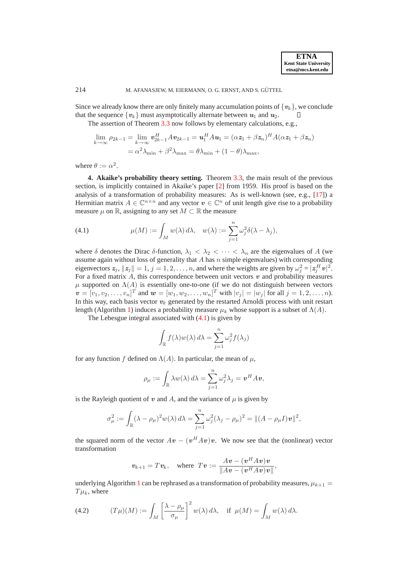Since we already know there are only finitely many accumulation points of  $\{v_k\}$ , we conclude that the sequence  $\{v_k\}$  must asymptotically alternate between  $u_1$  and  $u_2$ . that the sequence  $\{v_k\}$  must asymptotically alternate between  $u_1$  and  $u_2$ .

The assertion of Theorem [3.3](#page-5-1) now follows by elementary calculations, e.g.,

$$
\lim_{k \to \infty} \rho_{2k-1} = \lim_{k \to \infty} \mathbf{v}_{2k-1}^H A \mathbf{v}_{2k-1} = \mathbf{u}_1^H A \mathbf{u}_1 = (\alpha \mathbf{z}_1 + \beta \mathbf{z}_n)^H A (\alpha \mathbf{z}_1 + \beta \mathbf{z}_n)
$$

$$
= \alpha^2 \lambda_{\min} + \beta^2 \lambda_{\max} = \theta \lambda_{\min} + (1 - \theta) \lambda_{\max},
$$

<span id="page-8-0"></span>where  $\theta := \alpha^2$ .

**4. Akaike's probability theory setting.** Theorem [3.3,](#page-5-1) the main result of the previous section, is implicitly contained in Akaike's paper [\[2\]](#page-16-7) from 1959. His proof is based on the analysis of a transformation of probability measures: As is well-known (see, e.g., [\[17\]](#page-16-16)) a Hermitian matrix  $A \in \mathbb{C}^{n \times n}$  and any vector  $v \in \mathbb{C}^n$  of unit length give rise to a probability measure  $\mu$  on R, assigning to any set  $M \subset \mathbb{R}$  the measure

<span id="page-8-1"></span>(4.1) 
$$
\mu(M) := \int_M w(\lambda) d\lambda, \quad w(\lambda) := \sum_{j=1}^n \omega_j^2 \delta(\lambda - \lambda_j),
$$

where  $\delta$  denotes the Dirac  $\delta$ -function,  $\lambda_1 < \lambda_2 < \cdots < \lambda_n$  are the eigenvalues of A (we assume again without loss of generality that  $A$  has  $n$  simple eigenvalues) with corresponding eigenvectors  $z_j$ ,  $||z_j|| = 1$ ,  $j = 1, 2, ..., n$ , and where the weights are given by  $\omega_j^2 = |z_j^H v|^2$ . For a fixed matrix  $\ddot{A}$ , this correspondence between unit vectors  $\dot{v}$  and probability measures  $\mu$  supported on  $\Lambda(A)$  is essentially one-to-one (if we do not distinguish between vectors  $\mathbf{v} = [v_1, v_2, \dots, v_n]^T$  and  $\mathbf{w} = [w_1, w_2, \dots, w_n]^T$  with  $|v_j| = |w_j|$  for all  $j = 1, 2, \dots, n$ ). In this way, each basis vector  $v_k$  generated by the restarted Arnoldi process with unit restart length (Algorithm [1\)](#page-2-1) induces a probability measure  $\mu_k$  whose support is a subset of  $\Lambda(A)$ .

The Lebesgue integral associated with  $(4.1)$  is given by

$$
\int_{\mathbb{R}} f(\lambda)w(\lambda) d\lambda = \sum_{j=1}^{n} \omega_j^2 f(\lambda_j)
$$

for any function f defined on  $\Lambda(A)$ . In particular, the mean of  $\mu$ ,

$$
\rho_{\mu} := \int_{\mathbb{R}} \lambda w(\lambda) d\lambda = \sum_{j=1}^{n} \omega_j^2 \lambda_j = \boldsymbol{v}^H A \boldsymbol{v},
$$

is the Rayleigh quotient of v and A, and the variance of  $\mu$  is given by

$$
\sigma_{\mu}^2 := \int_{\mathbb{R}} (\lambda - \rho_{\mu})^2 w(\lambda) d\lambda = \sum_{j=1}^n \omega_j^2 (\lambda_j - \rho_{\mu})^2 = ||(A - \rho_{\mu}I)v||^2,
$$

the squared norm of the vector  $Av - (v^HAv)v$ . We now see that the (nonlinear) vector transformation

$$
v_{k+1} = Tv_k
$$
, where  $Tv := \frac{Av - (v^HAv)v}{\|Av - (v^HAv)v\|}$ ,

underlying Algorithm [1](#page-2-1) can be rephrased as a transformation of probability measures,  $\mu_{k+1} =$  $T\mu_k$ , where

<span id="page-8-2"></span>(4.2) 
$$
(T\mu)(M) := \int_M \left[\frac{\lambda - \rho_\mu}{\sigma_\mu}\right]^2 w(\lambda) d\lambda, \text{ if } \mu(M) = \int_M w(\lambda) d\lambda.
$$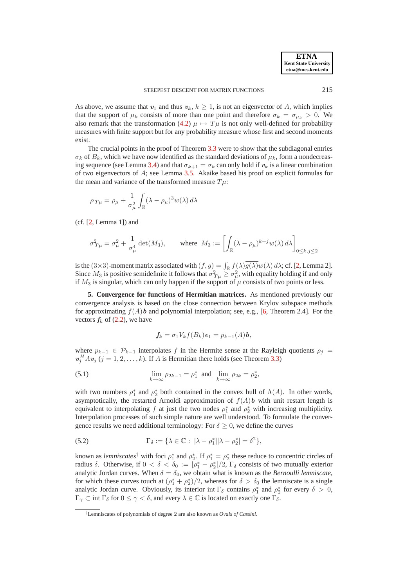As above, we assume that  $v_1$  and thus  $v_k$ ,  $k \ge 1$ , is not an eigenvector of A, which implies that the support of  $\mu_k$  consists of more than one point and therefore  $\sigma_k = \sigma_{\mu_k} > 0$ . We also remark that the transformation [\(4.2\)](#page-8-2)  $\mu \mapsto T\mu$  is not only well-defined for probability measures with finite support but for any probability measure whose first and second moments exist.

The crucial points in the proof of Theorem [3.3](#page-5-1) were to show that the subdiagonal entries  $\sigma_k$  of  $B_k$ , which we have now identified as the standard deviations of  $\mu_k$ , form a nondecreas-ing sequence (see Lemma [3.4\)](#page-6-0) and that  $\sigma_{k+1} = \sigma_k$  can only hold if  $v_k$  is a linear combination of two eigenvectors of A; see Lemma [3.5.](#page-6-1) Akaike based his proof on explicit formulas for the mean and variance of the transformed measure  $T\mu$ :

$$
\rho_{T\mu} = \rho_{\mu} + \frac{1}{\sigma_{\mu}^2} \int_{\mathbb{R}} (\lambda - \rho_{\mu})^3 w(\lambda) d\lambda
$$

 $(cf. [2, Lemma 1])$  $(cf. [2, Lemma 1])$  $(cf. [2, Lemma 1])$  and

$$
\sigma_{T\mu}^2 = \sigma_{\mu}^2 + \frac{1}{\sigma_{\mu}^4} \det(M_3), \qquad \text{where} \ \ M_3 := \left[ \int_{\mathbb{R}} (\lambda - \rho_{\mu})^{k+j} w(\lambda) \, d\lambda \right]_{0 \leq k, j \leq 2}
$$

is the (3×3)-moment matrix associated with  $(f, g) = \int_{\mathbb{R}} f(\lambda) \overline{g(\lambda)} w(\lambda) d\lambda$ ; cf. [\[2,](#page-16-7) Lemma 2]. Since  $M_3$  is positive semidefinite it follows that  $\sigma_{T\mu}^2 \geq \sigma_{\mu}^2$ , with equality holding if and only if  $M_3$  is singular, which can only happen if the support of  $\mu$  consists of two points or less.

<span id="page-9-0"></span>**5. Convergence for functions of Hermitian matrices.** As mentioned previously our convergence analysis is based on the close connection between Krylov subspace methods for approximating  $f(A)$ b and polynomial interpolation; see, e.g., [\[6,](#page-16-0) Theorem 2.4]. For the vectors  $f_k$  of [\(2.2\)](#page-3-2), we have

<span id="page-9-1"></span>
$$
f_k = \sigma_1 V_k f(B_k) \mathbf{e}_1 = p_{k-1}(A) \mathbf{b},
$$

where  $p_{k-1} \in \mathcal{P}_{k-1}$  interpolates f in the Hermite sense at the Rayleigh quotients  $\rho_j =$  $v_j^H A v_j$  (j = 1, 2, ..., k). If A is Hermitian there holds (see Theorem [3.3\)](#page-5-1)

(5.1) 
$$
\lim_{k \to \infty} \rho_{2k-1} = \rho_1^* \text{ and } \lim_{k \to \infty} \rho_{2k} = \rho_2^*,
$$

with two numbers  $\rho_1^*$  and  $\rho_2^*$  both contained in the convex hull of  $\Lambda(A)$ . In other words, asymptotically, the restarted Arnoldi approximation of  $f(A)$ **b** with unit restart length is equivalent to interpolating f at just the two nodes  $\rho_1^*$  and  $\rho_2^*$  with increasing multiplicity. Interpolation processes of such simple nature are well understood. To formulate the convergence results we need additional terminology: For  $\delta > 0$ , we define the curves

<span id="page-9-2"></span>(5.2) 
$$
\Gamma_{\delta} := \{ \lambda \in \mathbb{C} : |\lambda - \rho_1^*| |\lambda - \rho_2^*| = \delta^2 \},
$$

known as *lemniscates*<sup>†</sup> with foci  $\rho_1^*$  and  $\rho_2^*$ . If  $\rho_1^* = \rho_2^*$  these reduce to concentric circles of radius  $\delta$ . Otherwise, if  $0 < \delta < \delta_0 := |\rho_1^* - \rho_2^*|/2$ ,  $\Gamma_{\delta}$  consists of two mutually exterior analytic Jordan curves. When  $\delta = \delta_0$ , we obtain what is known as the *Bernoulli lemniscate*, for which these curves touch at  $(\rho_1^* + \rho_2^*)/2$ , whereas for  $\delta > \delta_0$  the lemniscate is a single analytic Jordan curve. Obviously, its interior int  $\Gamma_{\delta}$  contains  $\rho_1^*$  and  $\rho_2^*$  for every  $\delta > 0$ ,  $\Gamma_{\gamma} \subset \text{int } \Gamma_{\delta}$  for  $0 \leq \gamma < \delta$ , and every  $\lambda \in \mathbb{C}$  is located on exactly one  $\Gamma_{\delta}$ .

<sup>†</sup>Lemniscates of polynomials of degree 2 are also known as *Ovals of Cassini*.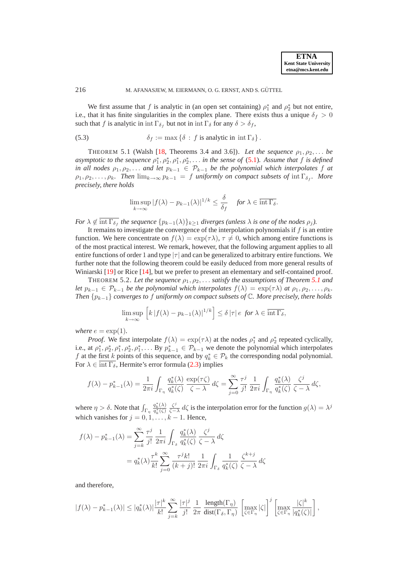We first assume that f is analytic in (an open set containing)  $\rho_1^*$  and  $\rho_2^*$  but not entire, i.e., that it has finite singularities in the complex plane. There exists thus a unique  $\delta_f > 0$ such that f is analytic in int  $\Gamma_{\delta_f}$  but not in int  $\Gamma_{\delta}$  for any  $\delta > \delta_f$ ,

<span id="page-10-0"></span>(5.3) 
$$
\delta_f := \max \left\{ \delta : f \text{ is analytic in } \text{int } \Gamma_{\delta} \right\}.
$$

THEOREM 5.1 (Walsh [\[18,](#page-16-12) Theorems 3.4 and 3.6]). Let the sequence  $\rho_1, \rho_2, \ldots$  be *asymptotic to the sequence*  $\rho_1^*, \rho_2^*, \rho_1^*, \rho_2^*, \ldots$  *in the sense of* [\(5.1\)](#page-9-1). Assume that f is defined *in all nodes*  $\rho_1, \rho_2, \ldots$  *and let*  $p_{k-1} \in \mathcal{P}_{k-1}$  *be the polynomial which interpolates* f *at*  $\rho_1, \rho_2, \ldots, \rho_k$ . Then  $\lim_{k \to \infty} p_{k-1} = f$  uniformly on compact subsets of  $\inf \Gamma_{\delta_f}$ . More *precisely, there holds*

<span id="page-10-1"></span>
$$
\limsup_{k \to \infty} |f(\lambda) - p_{k-1}(\lambda)|^{1/k} \le \frac{\delta}{\delta_f} \quad \text{for } \lambda \in \overline{\operatorname{int} \Gamma_{\delta}}.
$$

*For*  $\lambda \notin \text{int } \Gamma_{\delta_f}$  *the sequence*  $\{p_{k-1}(\lambda)\}_{k\geq 1}$  *diverges (unless*  $\lambda$  *is one of the nodes*  $\rho_j$ *).* 

It remains to investigate the convergence of the interpolation polynomials if  $f$  is an entire function. We here concentrate on  $f(\lambda) = \exp(\tau \lambda)$ ,  $\tau \neq 0$ , which among entire functions is of the most practical interest. We remark, however, that the following argument applies to all entire functions of order 1 and type  $|\tau|$  and can be generalized to arbitrary entire functions. We further note that the following theorem could be easily deduced from more general results of Winiarski [\[19\]](#page-16-17) or Rice [\[14\]](#page-16-18), but we prefer to present an elementary and self-contained proof.

<span id="page-10-2"></span>THEOREM 5.2. Let the sequence  $\rho_1, \rho_2, \ldots$  satisfy the assumptions of Theorem [5.1](#page-10-0) and *let*  $p_{k-1} \in \mathcal{P}_{k-1}$  *be the polynomial which interpolates*  $f(\lambda) = \exp(\tau \lambda)$  *at*  $\rho_1, \rho_2, \ldots, \rho_k$ . *Then* {pk−1} *converges to* <sup>f</sup> *uniformly on compact subsets of* <sup>C</sup>*. More precisely, there holds*

$$
\limsup_{k \to \infty} \left[ k \left| f(\lambda) - p_{k-1}(\lambda) \right|^{1/k} \right] \le \delta |\tau| \, e \text{ for } \lambda \in \overline{\operatorname{int} \Gamma_{\delta}},
$$

*where*  $e = \exp(1)$ *.* 

*Proof.* We first interpolate  $f(\lambda) = \exp(\tau \lambda)$  at the nodes  $\rho_1^*$  and  $\rho_2^*$  repeated cyclically, i.e., at  $\rho_1^*, \rho_2^*, \rho_1^*, \rho_2^*, \rho_1^*, \dots$  By  $p_{k-1}^* \in \mathcal{P}_{k-1}$  we denote the polynomial which interpolates f at the first k points of this sequence, and by  $q_k^* \in \mathcal{P}_k$  the corresponding nodal polynomial. For  $\lambda \in \overline{\text{int }\Gamma_{\delta}}$ , Hermite's error formula [\(2.3\)](#page-4-2) implies

$$
f(\lambda) - p_{k-1}^*(\lambda) = \frac{1}{2\pi i} \int_{\Gamma_{\eta}} \frac{q_k^*(\lambda)}{q_k^*(\zeta)} \frac{\exp(\tau \zeta)}{\zeta - \lambda} d\zeta = \sum_{j=0}^{\infty} \frac{\tau^j}{j!} \frac{1}{2\pi i} \int_{\Gamma_{\eta}} \frac{q_k^*(\lambda)}{q_k^*(\zeta)} \frac{\zeta^j}{\zeta - \lambda} d\zeta,
$$

where  $\eta > \delta$ . Note that  $\int_{\Gamma_{\eta}}$  $q_k^*(\lambda)$  $\frac{q_k^*(\lambda)}{q_k^*(\zeta)} \frac{\zeta^j}{\zeta -}$  $\frac{\zeta^j}{\zeta-\lambda}$  d $\zeta$  is the interpolation error for the function  $g(\lambda) = \lambda^j$ which vanishes for  $j = 0, 1, \ldots, k - 1$ . Hence,

$$
f(\lambda) - p_{k-1}^*(\lambda) = \sum_{j=k}^{\infty} \frac{\tau^j}{j!} \frac{1}{2\pi i} \int_{\Gamma_{\delta}} \frac{q_k^*(\lambda)}{q_k^*(\zeta)} \frac{\zeta^j}{\zeta - \lambda} d\zeta
$$
  

$$
= q_k^*(\lambda) \frac{\tau^k}{k!} \sum_{j=0}^{\infty} \frac{\tau^j k!}{(k+j)!} \frac{1}{2\pi i} \int_{\Gamma_{\delta}} \frac{1}{q_k^*(\zeta)} \frac{\zeta^{k+j}}{\zeta - \lambda} d\zeta
$$

and therefore,

$$
|f(\lambda)-p_{k-1}^*(\lambda)|\leq |q_k^*(\lambda)|\frac{|\tau|^k}{k!}\sum_{j=k}^\infty \frac{|\tau|^j}{j!}\,\frac{1}{2\pi}\,\frac{\text{length}(\Gamma_\eta)}{\text{dist}(\Gamma_\delta,\Gamma_\eta)}\,\left[\max_{\zeta\in\Gamma_\eta}|\zeta|\right]^j\left[\max_{\zeta\in\Gamma_\eta}\frac{|\zeta|^k}{|q_k^*(\zeta)|}\right],
$$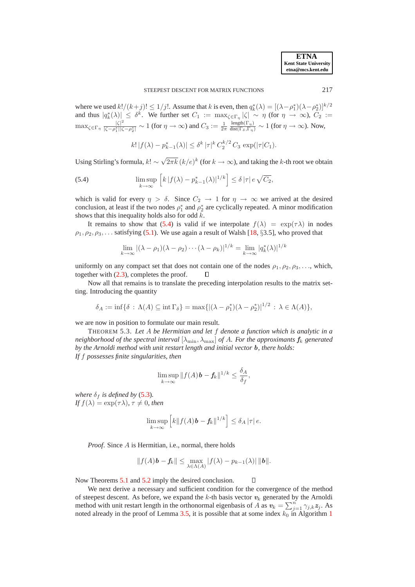**ETNA Kent State University etna@mcs.kent.edu**

where we used  $k!/(k+j)! \leq 1/j!$ . Assume that k is even, then  $q_k^*(\lambda) = [(\lambda - \rho_1^*)(\lambda - \rho_2^*)]^{k/2}$ where we used  $k!/(k+j)! \le 1/j$ . Assume that k is even, then  $q_k(\lambda) = [(\lambda - p_1)(\lambda - p_2)]$ <br>and thus  $|q_k^*(\lambda)| \le \delta^k$ . We further set  $C_1 := \max_{\zeta \in \Gamma_\eta} |\zeta| \sim \eta$  (for  $\eta \to \infty$ ),  $C_2 :=$  $\max_{\zeta \in \Gamma_{\eta}} \frac{|\zeta|^2}{|\zeta - \rho_1^*||\zeta|}$  $\frac{|\zeta|^2}{|\zeta-\rho_1^*||\zeta-\rho_2^*|} \sim 1$  (for  $\eta \to \infty$ ) and  $C_3 := \frac{1}{2\pi}$  $\frac{\text{length}(\Gamma_{\eta})}{\text{dist}(\Gamma_{\delta},\Gamma_{\eta})} \sim 1$  (for  $\eta \to \infty$ ). Now,

<span id="page-11-0"></span>
$$
k! |f(\lambda) - p_{k-1}^*(\lambda)| \le \delta^k |\tau|^k C_2^{k/2} C_3 \exp(|\tau| C_1).
$$

Using Stirling's formula,  $k! \sim \sqrt{2\pi k} (k/e)^k$  (for  $k \to \infty$ ), and taking the k-th root we obtain

(5.4) 
$$
\limsup_{k \to \infty} \left[ k |f(\lambda) - p_{k-1}^*(\lambda)|^{1/k} \right] \le \delta |\tau| e \sqrt{C_2},
$$

which is valid for every  $\eta > \delta$ . Since  $C_2 \to 1$  for  $\eta \to \infty$  we arrived at the desired conclusion, at least if the two nodes  $\rho_1^*$  and  $\rho_2^*$  are cyclically repeated. A minor modification shows that this inequality holds also for odd  $k$ .

It remains to show that [\(5.4\)](#page-11-0) is valid if we interpolate  $f(\lambda) = \exp(\tau \lambda)$  in nodes  $\rho_1, \rho_2, \rho_3, \ldots$  satisfying [\(5.1\)](#page-9-1). We use again a result of Walsh [\[18,](#page-16-12) §3.5], who proved that

$$
\lim_{k \to \infty} |(\lambda - \rho_1)(\lambda - \rho_2) \cdots (\lambda - \rho_k)|^{1/k} = \lim_{k \to \infty} |q_k^*(\lambda)|^{1/k}
$$

uniformly on any compact set that does not contain one of the nodes  $\rho_1, \rho_2, \rho_3, \ldots$ , which, together with [\(2.3\)](#page-4-2), completes the proof. П

Now all that remains is to translate the preceding interpolation results to the matrix setting. Introducing the quantity

$$
\delta_A := \inf \{ \delta : \Lambda(A) \subseteq \operatorname{int} \Gamma_{\delta} \} = \max \{ |(\lambda - \rho_1^*)(\lambda - \rho_2^*)|^{1/2} : \lambda \in \Lambda(A) \},
$$

we are now in position to formulate our main result.

THEOREM 5.3. *Let* A *be Hermitian and let* f *denote a function which is analytic in a neighborhood of the spectral interval*  $[\lambda_{\min}, \lambda_{\max}]$  *of A. For the approximants*  $f_k$  *generated by the Arnoldi method with unit restart length and initial vector* b*, there holds: If* f *possesses finite singularities, then*

$$
\limsup_{k \to \infty} \|f(A)\mathbf{b} - \mathbf{f}_k\|^{1/k} \le \frac{\delta_A}{\delta_f},
$$

*where*  $\delta_f$  *is defined by* [\(5.3\)](#page-10-1). *If*  $f(\lambda) = \exp(\tau \lambda)$ ,  $\tau \neq 0$ , then

$$
\limsup_{k\to\infty}\left[k\|f(A)\mathbf{b}-\mathbf{f}_k\|^{1/k}\right]\leq \delta_A|\tau|\,e.
$$

*Proof*. Since A is Hermitian, i.e., normal, there holds

$$
||f(A)\mathbf{b} - \mathbf{f}_k|| \le \max_{\lambda \in \Lambda(A)} |f(\lambda) - p_{k-1}(\lambda)| ||\mathbf{b}||.
$$

 $\Box$ Now Theorems [5.1](#page-10-0) and [5.2](#page-10-2) imply the desired conclusion.

We next derive a necessary and sufficient condition for the convergence of the method of steepest descent. As before, we expand the k-th basis vector  $v_k$  generated by the Arnoldi method with unit restart length in the orthonormal eigenbasis of A as  $v_k = \sum_{j=1}^n \gamma_{j,k} z_j$ . As noted already in the proof of Lemma [3.5,](#page-6-1) it is possible that at some index  $k_0$  in Algorithm [1](#page-2-1)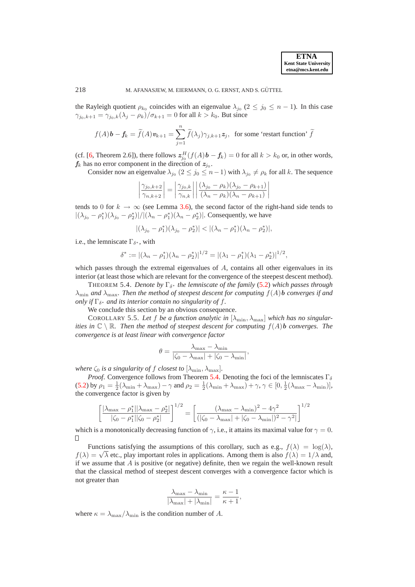the Rayleigh quotient  $\rho_{k_0}$  coincides with an eigenvalue  $\lambda_{j_0}$  ( $2 \le j_0 \le n-1$ ). In this case  $\gamma_{j_0,k+1} = \gamma_{j_0,k}(\lambda_j - \rho_k)/\sigma_{k+1} = 0$  for all  $k > k_0$ . But since

$$
f(A)\mathbf{b} - \mathbf{f}_k = \widetilde{f}(A)\mathbf{v}_{k+1} = \sum_{j=1}^n \widetilde{f}(\lambda_j)\gamma_{j,k+1}\mathbf{z}_j
$$
, for some 'restart function'  $\widetilde{f}$ 

(cf. [\[6,](#page-16-0) Theorem 2.6]), there follows  $z_{j_0}^H(f(A) \mathbf{b} - \mathbf{f}_k) = 0$  for all  $k > k_0$  or, in other words,  $f_k$  has no error component in the direction of  $z_{j_0}$ .

Consider now an eigenvalue  $\lambda_{j_0}$   $(2 \le j_0 \le n-1)$  with  $\lambda_{j_0} \ne \rho_k$  for all k. The sequence

$$
\left| \frac{\gamma_{j_0,k+2}}{\gamma_{n,k+2}} \right| = \left| \frac{\gamma_{j_0,k}}{\gamma_{n,k}} \right| \left| \frac{(\lambda_{j_0} - \rho_k)(\lambda_{j_0} - \rho_{k+1})}{(\lambda_n - \rho_k)(\lambda_n - \rho_{k+1})} \right|
$$

tends to 0 for  $k \to \infty$  (see Lemma [3.6\)](#page-7-0), the second factor of the right-hand side tends to  $|(\lambda_{j_0} - \rho_1^*)(\lambda_{j_0} - \rho_2^*)|/|(\lambda_n - \rho_1^*)(\lambda_n - \rho_2^*)|$ . Consequently, we have

$$
|(\lambda_{j_0} - \rho_1^*)(\lambda_{j_0} - \rho_2^*)| < |(\lambda_n - \rho_1^*)(\lambda_n - \rho_2^*)|,
$$

i.e., the lemniscate  $\Gamma_{\delta^*}$ , with

$$
\delta^* := |(\lambda_n - \rho_1^*)(\lambda_n - \rho_2^*)|^{1/2} = |(\lambda_1 - \rho_1^*)(\lambda_1 - \rho_2^*)|^{1/2},
$$

which passes through the extremal eigenvalues of A, contains all other eigenvalues in its interior (at least those which are relevant for the convergence of the steepest descent method).

<span id="page-12-0"></span>THEOREM 5.4. *Denote by*  $\Gamma_{\delta^*}$  *the lemniscate of the family* [\(5.2\)](#page-9-2) *which passes through*  $\lambda_{\min}$  *and*  $\lambda_{\max}$ *. Then the method of steepest descent for computing*  $f(A)$ *b converges if and only if*  $\Gamma_{\delta^*}$  *and its interior contain no singularity of f.* 

We conclude this section by an obvious consequence.

COROLLARY 5.5. Let f be a function analytic in  $[\lambda_{\min}, \lambda_{\max}]$  which has no singular*ities in*  $\mathbb{C} \setminus \mathbb{R}$ *. Then the method of steepest descent for computing*  $f(A)$ *b converges. The convergence is at least linear with convergence factor*

$$
\theta = \frac{\lambda_{\max} - \lambda_{\min}}{|\zeta_0 - \lambda_{\max}| + |\zeta_0 - \lambda_{\min}|},
$$

*where*  $\zeta_0$  *is a singularity of f closest to*  $[\lambda_{\min}, \lambda_{\max}]$ *.* 

*Proof.* Convergence follows from Theorem [5.4.](#page-12-0) Denoting the foci of the lemniscates  $\Gamma_{\delta}$ [\(5.2\)](#page-9-2) by  $\rho_1 = \frac{1}{2}(\lambda_{\min} + \lambda_{\max}) - \gamma$  and  $\rho_2 = \frac{1}{2}(\lambda_{\min} + \lambda_{\max}) + \gamma$ ,  $\gamma \in [0, \frac{1}{2}(\lambda_{\max} - \lambda_{\min})]$ , the convergence factor is given by

$$
\left[\frac{|\lambda_{\max} - \rho_1^*||\lambda_{\max} - \rho_2^*|}{|\zeta_0 - \rho_1^*||\zeta_0 - \rho_2^*|}\right]^{1/2} = \left[\frac{(\lambda_{\max} - \lambda_{\min})^2 - 4\gamma^2}{(|\zeta_0 - \lambda_{\max}| + |\zeta_0 - \lambda_{\min}|)^2 - \gamma^2|}\right]^{1/2}
$$

which is a monotonically decreasing function of  $\gamma$ , i.e., it attains its maximal value for  $\gamma = 0$ .  $\Box$ 

Functions satisfying the assumptions of this corollary, such as e.g.,  $f(\lambda) = \log(\lambda)$ , f( $\lambda$ ) =  $\sqrt{\lambda}$  etc., play important roles in applications. Among them is also  $f(\lambda) = 1/\lambda$  and, if we assume that  $A$  is positive (or negative) definite, then we regain the well-known result that the classical method of steepest descent converges with a convergence factor which is not greater than

$$
\frac{\lambda_{\max} - \lambda_{\min}}{|\lambda_{\max}| + |\lambda_{\min}|} = \frac{\kappa - 1}{\kappa + 1},
$$

where  $\kappa = \lambda_{\text{max}}/\lambda_{\text{min}}$  is the condition number of A.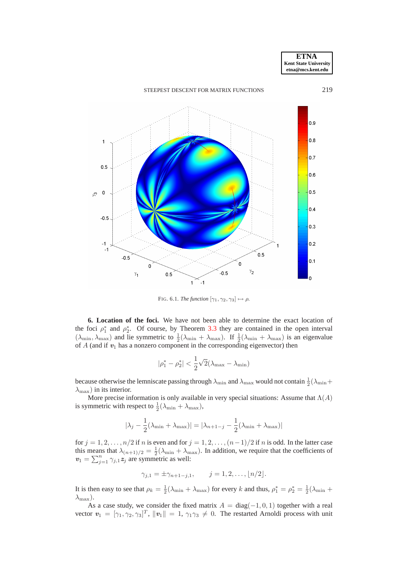

<span id="page-13-1"></span>FIG. 6.1. *The function*  $[\gamma_1, \gamma_2, \gamma_3] \mapsto \rho$ .

<span id="page-13-0"></span>**6. Location of the foci.** We have not been able to determine the exact location of the foci  $\rho_1^*$  and  $\rho_2^*$ . Of course, by Theorem [3.3](#page-5-1) they are contained in the open interval  $(\lambda_{\min}, \lambda_{\max})$  and lie symmetric to  $\frac{1}{2}(\lambda_{\min} + \lambda_{\max})$ . If  $\frac{1}{2}(\lambda_{\min} + \lambda_{\max})$  is an eigenvalue of  $A$  (and if  $v_1$  has a nonzero component in the corresponding eigenvector) then

$$
|\rho_1^* - \rho_2^*| < \frac{1}{2}\sqrt{2}(\lambda_{\max} - \lambda_{\min})
$$

because otherwise the lemniscate passing through  $\lambda_{\min}$  and  $\lambda_{\max}$  would not contain  $\frac{1}{2}(\lambda_{\min}+$  $\lambda_{\text{max}}$ ) in its interior.

More precise information is only available in very special situations: Assume that  $\Lambda(A)$ is symmetric with respect to  $\frac{1}{2}(\lambda_{\min} + \lambda_{\max})$ ,

$$
|\lambda_j - \frac{1}{2}(\lambda_{\min} + \lambda_{\max})| = |\lambda_{n+1-j} - \frac{1}{2}(\lambda_{\min} + \lambda_{\max})|
$$

for  $j = 1, 2, \ldots, n/2$  if n is even and for  $j = 1, 2, \ldots, (n-1)/2$  if n is odd. In the latter case this means that  $\lambda_{(n+1)/2} = \frac{1}{2}(\lambda_{\min} + \lambda_{\max})$ . In addition, we require that the coefficients of  $v_1 = \sum_{j=1}^n \gamma_{j,1} z_j$  are symmetric as well:

 $\gamma_{j,1} = \pm \gamma_{n+1-j,1}, \qquad j = 1, 2, \ldots, \lfloor n/2 \rfloor.$ 

It is then easy to see that  $\rho_k = \frac{1}{2}(\lambda_{\min} + \lambda_{\max})$  for every k and thus,  $\rho_1^* = \rho_2^* = \frac{1}{2}(\lambda_{\min} + \lambda_{\max})$  $\lambda_{\max}$ ).

As a case study, we consider the fixed matrix  $A = \text{diag}(-1, 0, 1)$  together with a real vector  $v_1 = [\gamma_1, \gamma_2, \gamma_3]^T$ ,  $||v_1|| = 1$ ,  $\gamma_1 \gamma_3 \neq 0$ . The restarted Arnoldi process with unit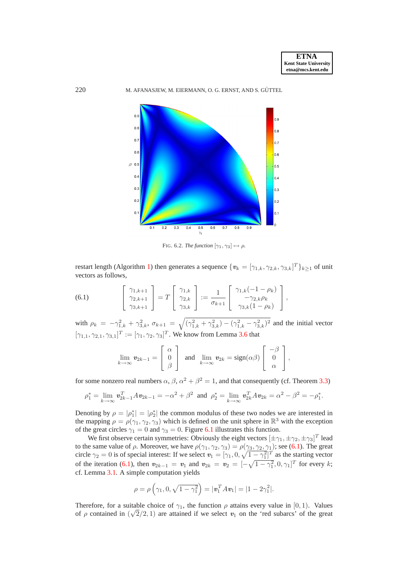

<span id="page-14-1"></span>FIG. 6.2. *The function*  $[\gamma_1, \gamma_3] \mapsto \rho$ .

restart length (Algorithm [1\)](#page-2-1) then generates a sequence  $\{v_k = [\gamma_{1,k}, \gamma_{2,k}, \gamma_{3,k}]^T\}_{k \ge 1}$  of unit vectors as follows,

<span id="page-14-0"></span>(6.1) 
$$
\begin{bmatrix} \gamma_{1,k+1} \\ \gamma_{2,k+1} \\ \gamma_{3,k+1} \end{bmatrix} = T \begin{bmatrix} \gamma_{1,k} \\ \gamma_{2,k} \\ \gamma_{3,k} \end{bmatrix} := \frac{1}{\sigma_{k+1}} \begin{bmatrix} \gamma_{1,k}(-1-\rho_k) \\ -\gamma_{2,k}\rho_k \\ \gamma_{3,k}(1-\rho_k) \end{bmatrix},
$$

with  $\rho_k = -\gamma_{1,k}^2 + \gamma_{3,k}^2$ ,  $\sigma_{k+1} = \sqrt{(\gamma_{1,k}^2 + \gamma_{3,k}^2) - (\gamma_{1,k}^2 - \gamma_{3,k}^2)^2}$  and the initial vector  $[\gamma_{1,1}, \gamma_{2,1}, \gamma_{3,1}]^T := [\gamma_1, \gamma_2, \gamma_3]^T$ . We know from Lemma [3.6](#page-7-0) that

$$
\lim_{k \to \infty} \mathbf{v}_{2k-1} = \begin{bmatrix} \alpha \\ 0 \\ \beta \end{bmatrix} \text{ and } \lim_{k \to \infty} \mathbf{v}_{2k} = \text{sign}(\alpha \beta) \begin{bmatrix} -\beta \\ 0 \\ \alpha \end{bmatrix},
$$

for some nonzero real numbers  $\alpha$ ,  $\beta$ ,  $\alpha^2 + \beta^2 = 1$ , and that consequently (cf. Theorem [3.3\)](#page-5-1)

$$
\rho_1^* = \lim_{k \to \infty} \mathbf{v}_{2k-1}^T A \mathbf{v}_{2k-1} = -\alpha^2 + \beta^2 \text{ and } \rho_2^* = \lim_{k \to \infty} \mathbf{v}_{2k}^T A \mathbf{v}_{2k} = \alpha^2 - \beta^2 = -\rho_1^*.
$$

Denoting by  $\rho = |\rho_1^*| = |\rho_2^*|$  the common modulus of these two nodes we are interested in the mapping  $\rho = \rho(\gamma_1, \gamma_2, \gamma_3)$  which is defined on the unit sphere in  $\mathbb{R}^3$  with the exception of the great circles  $\gamma_1 = 0$  and  $\gamma_3 = 0$ . Figure [6.1](#page-13-1) illustrates this function.

We first observe certain symmetries: Obviously the eight vectors  $[\pm \gamma_1, \pm \gamma_2, \pm \gamma_3]^T$  lead to the same value of  $\rho$ . Moreover, we have  $\rho(\gamma_1, \gamma_2, \gamma_3) = \rho(\gamma_3, \gamma_2, \gamma_1)$ ; see [\(6.1\)](#page-14-0). The great circle  $\gamma_2 = 0$  is of special interest: If we select  $v_1 = [\gamma_1, 0, \sqrt{1 - \gamma_1^2}]^T$  as the starting vector of the iteration [\(6.1\)](#page-14-0), then  $v_{2k-1} = v_1$  and  $v_{2k} = v_2 = \left[ -\sqrt{1-\gamma_1^2}, 0, \gamma_1 \right]^T$  for every k; cf. Lemma [3.1.](#page-4-1) A simple computation yields

$$
\rho = \rho \left( \gamma_1, 0, \sqrt{1 - \gamma_1^2} \right) = |\mathbf{v}_1^T A \mathbf{v}_1| = |1 - 2\gamma_1^2|.
$$

Therefore, for a suitable choice of  $\gamma_1$ , the function  $\rho$  attains every value in [0, 1). Values of  $\rho$  contained in  $(\sqrt{2}/2, 1)$  are attained if we select  $v_1$  on the 'red subarcs' of the great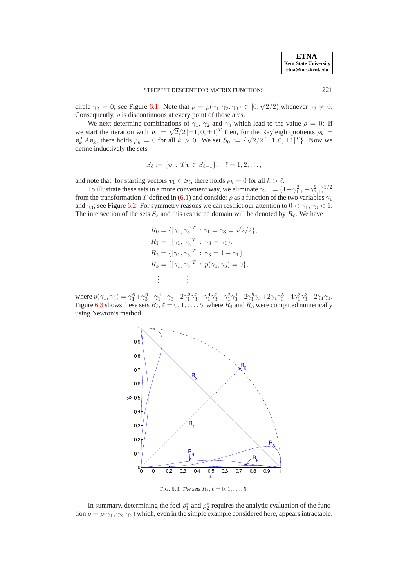**ETNA Kent State University etna@mcs.kent.edu**

circle  $\gamma_2 = 0$ ; see Figure [6.1.](#page-13-1) Note that  $\rho = \rho(\gamma_1, \gamma_2, \gamma_3) \in [0, \sqrt{2}/2)$  whenever  $\gamma_2 \neq 0$ . Consequently,  $\rho$  is discontinuous at every point of those arcs.

We next determine combinations of  $\gamma_1$ ,  $\gamma_2$  and  $\gamma_3$  which lead to the value  $\rho = 0$ : If we start the iteration with  $v_1 = \sqrt{2}/2 [\pm 1, 0, \pm 1]^T$  then, for the Rayleigh quotients  $\rho_k =$  $v_k^T A v_k$ , there holds  $\rho_k = 0$  for all  $k > 0$ . We set  $S_0 := {\sqrt{2}/2 [\pm 1, 0, \pm 1]^T}$ . Now we define inductively the sets

$$
S_{\ell} := \{ \mathbf{v} : T\mathbf{v} \in S_{\ell-1} \}, \quad \ell = 1, 2, \ldots,
$$

and note that, for starting vectors  $v_1 \in S_\ell$ , there holds  $\rho_k = 0$  for all  $k > \ell$ .

To illustrate these sets in a more convenient way, we eliminate  $\gamma_{2,1} = (1 - \gamma_{1,1}^2 - \gamma_{3,1}^2)^{1/2}$ from the transformation T defined in [\(6.1\)](#page-14-0) and consider  $\rho$  as a function of the two variables  $\gamma_1$ and  $\gamma_3$ ; see Figure [6.2.](#page-14-1) For symmetry reasons we can restrict our attention to  $0 < \gamma_1, \gamma_3 < 1$ . The intersection of the sets  $S_{\ell}$  and this restricted domain will be denoted by  $R_{\ell}$ . We have

$$
R_0 = \{ [\gamma_1, \gamma_3]^T : \gamma_1 = \gamma_3 = \sqrt{2}/2 \},
$$
  
\n
$$
R_1 = \{ [\gamma_1, \gamma_3]^T : \gamma_3 = \gamma_1 \},
$$
  
\n
$$
R_2 = \{ [\gamma_1, \gamma_3]^T : \gamma_3 = 1 - \gamma_1 \},
$$
  
\n
$$
R_3 = \{ [\gamma_1, \gamma_3]^T : p(\gamma_1, \gamma_3) = 0 \},
$$
  
\n
$$
\vdots
$$

where  $p(\gamma_1, \gamma_3) = \gamma_1^6 + \gamma_3^6 - \gamma_1^4 - \gamma_3^4 + 2\gamma_1^2\gamma_3^2 - \gamma_1^4\gamma_3^2 - \gamma_1^2\gamma_3^4 + 2\gamma_1^5\gamma_3 + 2\gamma_1\gamma_3^5 - 4\gamma_1^3\gamma_3^3 - 2\gamma_1\gamma_3.$ Figure [6.3](#page-15-0) shows these sets  $R_{\ell}$ ,  $\ell = 0, 1, \ldots, 5$ , where  $R_4$  and  $R_5$  were computed numerically using Newton's method.



<span id="page-15-0"></span>FIG. 6.3. *The sets*  $R_{\ell}$ ,  $\ell = 0, 1, ..., 5$ .

In summary, determining the foci  $\rho_1^*$  and  $\rho_2^*$  requires the analytic evaluation of the function  $\rho = \rho(\gamma_1, \gamma_2, \gamma_3)$  which, even in the simple example considered here, appears intractable.